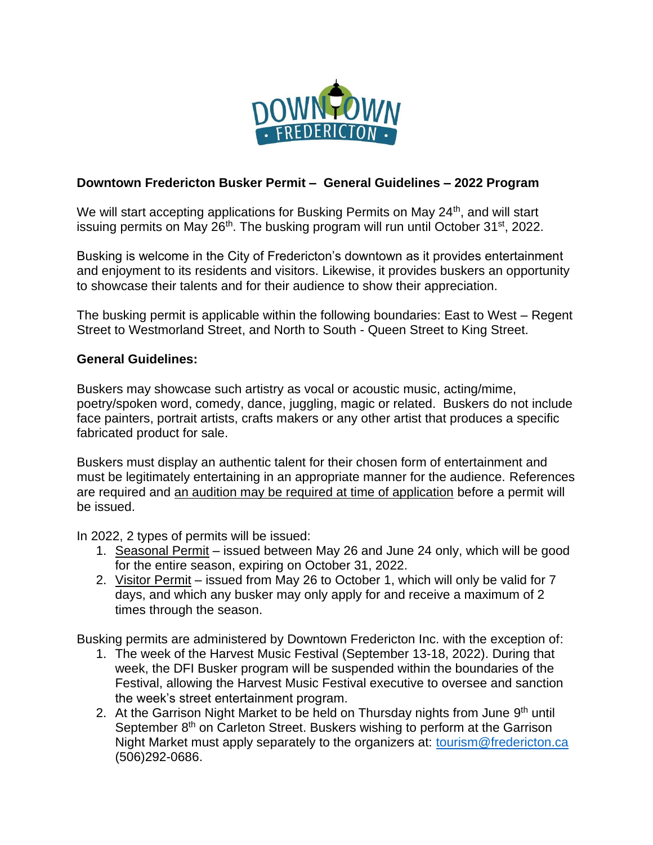

#### **Downtown Fredericton Busker Permit – General Guidelines – 2022 Program**

We will start accepting applications for Busking Permits on May 24<sup>th</sup>, and will start issuing permits on May 26<sup>th</sup>. The busking program will run until October 31<sup>st</sup>, 2022.

Busking is welcome in the City of Fredericton's downtown as it provides entertainment and enjoyment to its residents and visitors. Likewise, it provides buskers an opportunity to showcase their talents and for their audience to show their appreciation.

The busking permit is applicable within the following boundaries: East to West – Regent Street to Westmorland Street, and North to South - Queen Street to King Street.

#### **General Guidelines:**

Buskers may showcase such artistry as vocal or acoustic music, acting/mime, poetry/spoken word, comedy, dance, juggling, magic or related. Buskers do not include face painters, portrait artists, crafts makers or any other artist that produces a specific fabricated product for sale.

Buskers must display an authentic talent for their chosen form of entertainment and must be legitimately entertaining in an appropriate manner for the audience. References are required and an audition may be required at time of application before a permit will be issued.

In 2022, 2 types of permits will be issued:

- 1. Seasonal Permit issued between May 26 and June 24 only, which will be good for the entire season, expiring on October 31, 2022.
- 2. Visitor Permit issued from May 26 to October 1, which will only be valid for 7 days, and which any busker may only apply for and receive a maximum of 2 times through the season.

Busking permits are administered by Downtown Fredericton Inc. with the exception of:

- 1. The week of the Harvest Music Festival (September 13-18, 2022). During that week, the DFI Busker program will be suspended within the boundaries of the Festival, allowing the Harvest Music Festival executive to oversee and sanction the week's street entertainment program.
- 2. At the Garrison Night Market to be held on Thursday nights from June 9<sup>th</sup> until September 8<sup>th</sup> on Carleton Street. Buskers wishing to perform at the Garrison Night Market must apply separately to the organizers at: [tourism@fredericton.ca](mailto:tourism@fredericton.ca) (506)292-0686.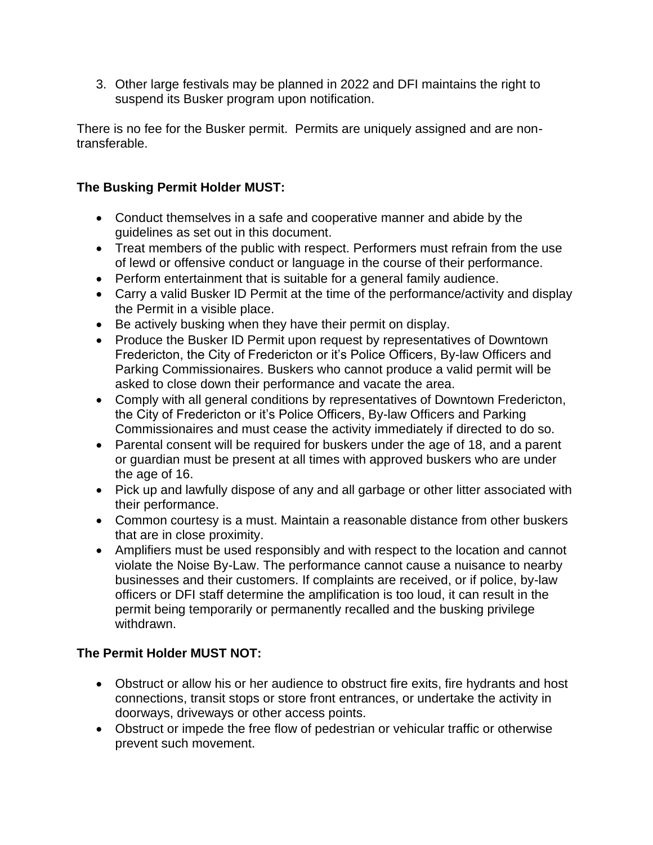3. Other large festivals may be planned in 2022 and DFI maintains the right to suspend its Busker program upon notification.

There is no fee for the Busker permit. Permits are uniquely assigned and are nontransferable.

## **The Busking Permit Holder MUST:**

- Conduct themselves in a safe and cooperative manner and abide by the guidelines as set out in this document.
- Treat members of the public with respect. Performers must refrain from the use of lewd or offensive conduct or language in the course of their performance.
- Perform entertainment that is suitable for a general family audience.
- Carry a valid Busker ID Permit at the time of the performance/activity and display the Permit in a visible place.
- Be actively busking when they have their permit on display.
- Produce the Busker ID Permit upon request by representatives of Downtown Fredericton, the City of Fredericton or it's Police Officers, By-law Officers and Parking Commissionaires. Buskers who cannot produce a valid permit will be asked to close down their performance and vacate the area.
- Comply with all general conditions by representatives of Downtown Fredericton, the City of Fredericton or it's Police Officers, By-law Officers and Parking Commissionaires and must cease the activity immediately if directed to do so.
- Parental consent will be required for buskers under the age of 18, and a parent or guardian must be present at all times with approved buskers who are under the age of 16.
- Pick up and lawfully dispose of any and all garbage or other litter associated with their performance.
- Common courtesy is a must. Maintain a reasonable distance from other buskers that are in close proximity.
- Amplifiers must be used responsibly and with respect to the location and cannot violate the Noise By-Law. The performance cannot cause a nuisance to nearby businesses and their customers. If complaints are received, or if police, by-law officers or DFI staff determine the amplification is too loud, it can result in the permit being temporarily or permanently recalled and the busking privilege withdrawn.

# **The Permit Holder MUST NOT:**

- Obstruct or allow his or her audience to obstruct fire exits, fire hydrants and host connections, transit stops or store front entrances, or undertake the activity in doorways, driveways or other access points.
- Obstruct or impede the free flow of pedestrian or vehicular traffic or otherwise prevent such movement.